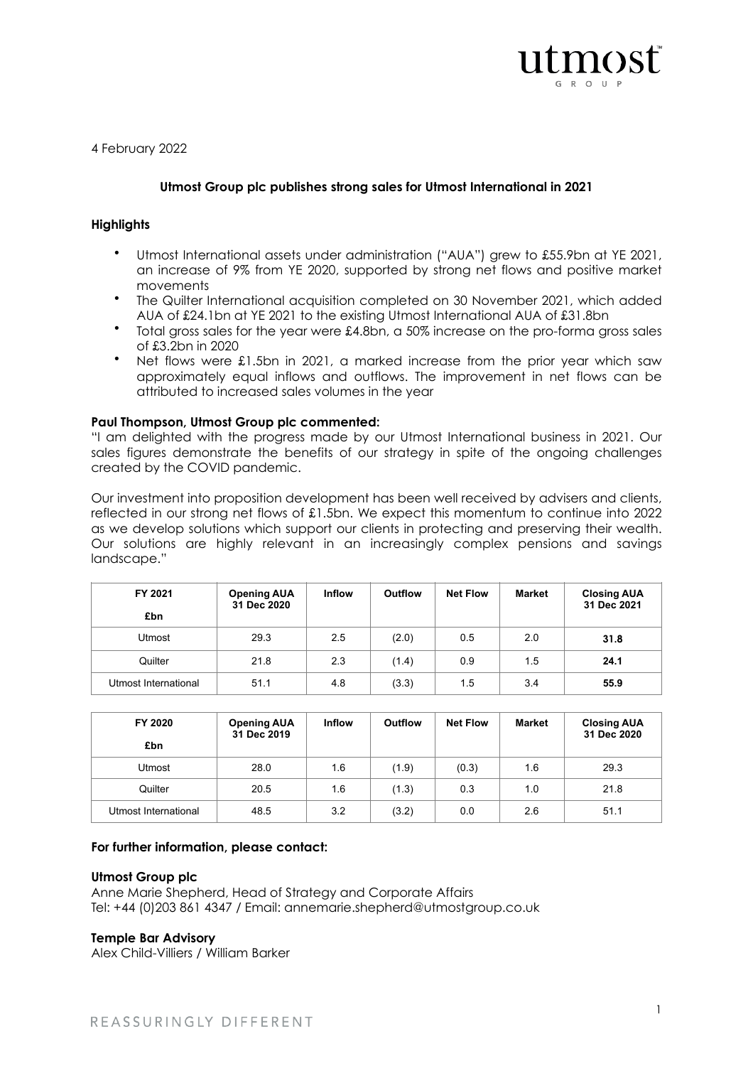

4 February 2022

# **Utmost Group plc publishes strong sales for Utmost International in 2021**

# **Highlights**

- Utmost International assets under administration ("AUA") grew to £55.9bn at YE 2021, an increase of 9% from YE 2020, supported by strong net flows and positive market movements
- The Quilter International acquisition completed on 30 November 2021, which added AUA of £24.1bn at YE 2021 to the existing Utmost International AUA of £31.8bn
- Total gross sales for the year were £4.8bn, a 50% increase on the pro-forma gross sales of £3.2bn in 2020
- Net flows were £1.5bn in 2021, a marked increase from the prior year which saw approximately equal inflows and outflows. The improvement in net flows can be attributed to increased sales volumes in the year

### **Paul Thompson, Utmost Group plc commented:**

"I am delighted with the progress made by our Utmost International business in 2021. Our sales figures demonstrate the benefits of our strategy in spite of the ongoing challenges created by the COVID pandemic.

Our investment into proposition development has been well received by advisers and clients, reflected in our strong net flows of £1.5bn. We expect this momentum to continue into 2022 as we develop solutions which support our clients in protecting and preserving their wealth. Our solutions are highly relevant in an increasingly complex pensions and savings landscape."

| FY 2021<br>£bn       | <b>Opening AUA</b><br>31 Dec 2020 | <b>Inflow</b> | Outflow | <b>Net Flow</b> | <b>Market</b> | <b>Closing AUA</b><br>31 Dec 2021 |
|----------------------|-----------------------------------|---------------|---------|-----------------|---------------|-----------------------------------|
| Utmost               | 29.3                              | 2.5           | (2.0)   | 0.5             | 2.0           | 31.8                              |
| Quilter              | 21.8                              | 2.3           | (1.4)   | 0.9             | 1.5           | 24.1                              |
| Utmost International | 51.1                              | 4.8           | (3.3)   | 1.5             | 3.4           | 55.9                              |

| FY 2020<br>£bn       | <b>Opening AUA</b><br>31 Dec 2019 | <b>Inflow</b> | Outflow | <b>Net Flow</b> | Market | <b>Closing AUA</b><br>31 Dec 2020 |
|----------------------|-----------------------------------|---------------|---------|-----------------|--------|-----------------------------------|
| Utmost               | 28.0                              | 1.6           | (1.9)   | (0.3)           | 1.6    | 29.3                              |
| Quilter              | 20.5                              | 1.6           | (1.3)   | 0.3             | 1.0    | 21.8                              |
| Utmost International | 48.5                              | 3.2           | (3.2)   | 0.0             | 2.6    | 51.1                              |

# **For further information, please contact:**

### **Utmost Group plc**

Anne Marie Shepherd, Head of Strategy and Corporate Affairs Tel: +44 (0)203 861 4347 / Email: [annemarie.shepherd@utmostgroup.co.uk](mailto:annemarie.shepherd@utmostgroup.co.uk)

### **Temple Bar Advisory**

Alex Child-Villiers / William Barker